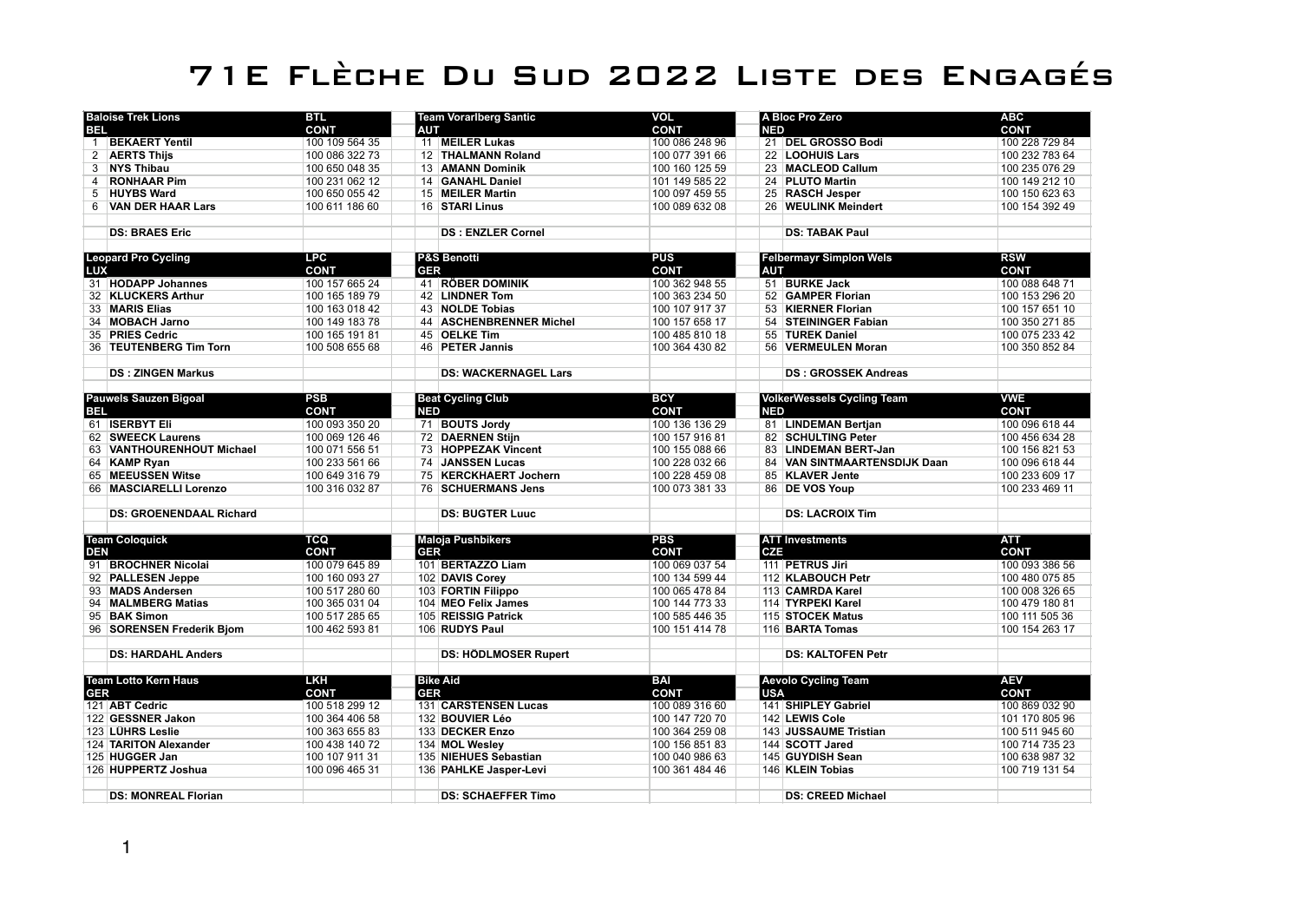## 71E Flèche Du Sud 2022 Liste des Engagés

| <b>Baloise Trek Lions</b> |                                | <b>BTL</b>     | <b>Team Vorariberg Santic</b> |                             | <b>VOL</b>     |            | A Bloc Pro Zero                   | <b>ABC</b>     |
|---------------------------|--------------------------------|----------------|-------------------------------|-----------------------------|----------------|------------|-----------------------------------|----------------|
| <b>BEL</b>                |                                | <b>CONT</b>    | AUT                           |                             | <b>CONT</b>    | <b>NED</b> |                                   | <b>CONT</b>    |
|                           | 1 BEKAERT Yentil               | 100 109 564 35 |                               | 11 MEILER Lukas             | 100 086 248 96 |            | 21 DEL GROSSO Bodi                | 100 228 729 84 |
| $\overline{2}$            | <b>AERTS Thijs</b>             | 100 086 322 73 |                               | 12 THALMANN Roland          | 100 077 391 66 |            | 22 LOOHUIS Lars                   | 100 232 783 64 |
| 3                         | <b>NYS Thibau</b>              | 100 650 048 35 |                               | 13 AMANN Dominik            | 100 160 125 59 |            | 23 MACLEOD Callum                 | 100 235 076 29 |
| 4                         | <b>RONHAAR Pim</b>             | 100 231 062 12 |                               | 14 GANAHL Daniel            | 101 149 585 22 |            | 24 PLUTO Martin                   | 100 149 212 10 |
| 5                         | <b>HUYBS Ward</b>              | 100 650 055 42 |                               | 15 MEILER Martin            | 100 097 459 55 |            | 25 RASCH Jesper                   | 100 150 623 63 |
|                           | 6 VAN DER HAAR Lars            | 100 611 186 60 |                               | 16 STARI Linus              | 100 089 632 08 |            | 26 WEULINK Meindert               | 100 154 392 49 |
|                           |                                |                |                               |                             |                |            |                                   |                |
|                           | <b>DS: BRAES Eric</b>          |                |                               | <b>DS: ENZLER Cornel</b>    |                |            | <b>DS: TABAK Paul</b>             |                |
|                           |                                |                |                               |                             |                |            |                                   |                |
|                           | <b>Leopard Pro Cycling</b>     | <b>LPC</b>     |                               | <b>P&amp;S Benotti</b>      | <b>PUS</b>     |            | <b>Felbermayr Simplon Wels</b>    | <b>RSW</b>     |
| <b>LUX</b>                |                                | <b>CONT</b>    | <b>GER</b>                    |                             | <b>CONT</b>    | AUT        |                                   | <b>CONT</b>    |
|                           | 31 HODAPP Johannes             | 100 157 665 24 |                               | 41 RÖBER DOMINIK            | 100 362 948 55 |            | 51 BURKE Jack                     | 100 088 648 71 |
|                           | 32 KLUCKERS Arthur             | 100 165 189 79 |                               | 42   LINDNER Tom            | 100 363 234 50 |            | 52 GAMPER Florian                 | 100 153 296 20 |
|                           | 33 MARIS Elias                 | 100 163 018 42 |                               | 43 NOLDE Tobias             | 100 107 917 37 |            | 53 KIERNER Florian                | 100 157 651 10 |
|                           | 34 MOBACH Jarno                | 100 149 183 78 |                               | 44 ASCHENBRENNER Michel     | 100 157 658 17 |            | 54 STEININGER Fabian              | 100 350 271 85 |
|                           | 35 PRIES Cedric                | 100 165 191 81 |                               | 45 OELKE Tim                | 100 485 810 18 |            | 55 TUREK Daniel                   | 100 075 233 42 |
|                           | 36 TEUTENBERG Tim Torn         | 100 508 655 68 |                               | 46 PETER Jannis             | 100 364 430 82 |            | 56 VERMEULEN Moran                | 100 350 852 84 |
|                           |                                |                |                               | <b>DS: WACKERNAGEL Lars</b> |                |            |                                   |                |
|                           | <b>DS: ZINGEN Markus</b>       |                |                               |                             |                |            | <b>DS: GROSSEK Andreas</b>        |                |
|                           | Pauwels Sauzen Bigoal          | <b>PSB</b>     |                               | <b>Beat Cycling Club</b>    | <b>BCY</b>     |            | <b>VolkerWessels Cycling Team</b> | <b>VWE</b>     |
| <b>BEL</b>                |                                | <b>CONT</b>    | <b>NED</b>                    |                             | <b>CONT</b>    | <b>NED</b> |                                   | <b>CONT</b>    |
|                           | 61   ISERBYT Eli               | 100 093 350 20 |                               | 71 BOUTS Jordy              | 100 136 136 29 |            | 81 LINDEMAN Bertjan               | 100 096 618 44 |
|                           | 62 SWEECK Laurens              | 100 069 126 46 |                               | 72 DAERNEN Stijn            | 100 157 916 81 |            | 82 SCHULTING Peter                | 100 456 634 28 |
|                           | 63 VANTHOURENHOUT Michael      | 100 071 556 51 |                               | 73 HOPPEZAK Vincent         | 100 155 088 66 |            | 83 LINDEMAN BERT-Jan              | 100 156 821 53 |
|                           | 64 KAMP Ryan                   | 100 233 561 66 |                               | 74 JANSSEN Lucas            | 100 228 032 66 |            | 84 VAN SINTMAARTENSDIJK Daan      | 100 096 618 44 |
|                           | 65 MEEUSSEN Witse              | 100 649 316 79 |                               | 75 KERCKHAERT Jochern       | 100 228 459 08 |            | 85 KLAVER Jente                   | 100 233 609 17 |
|                           | 66 MASCIARELLI Lorenzo         | 100 316 032 87 |                               | 76   SCHUERMANS Jens        | 100 073 381 33 |            | 86 DE VOS Youp                    | 100 233 469 11 |
|                           |                                |                |                               |                             |                |            |                                   |                |
|                           | <b>DS: GROENENDAAL Richard</b> |                |                               | <b>DS: BUGTER Luuc</b>      |                |            | <b>DS: LACROIX Tim</b>            |                |
|                           |                                |                |                               |                             |                |            |                                   |                |
|                           | <b>Team Coloquick</b>          | TCQ            |                               | <b>Maloja Pushbikers</b>    | <b>PBS</b>     |            | <b>ATT Investments</b>            | <b>ATT</b>     |
| DEN                       |                                | <b>CONT</b>    | <b>GER</b>                    |                             | <b>CONT</b>    | <b>CZE</b> |                                   | <b>CONT</b>    |
|                           | 91 BROCHNER Nicolai            | 100 079 645 89 |                               | 101 BERTAZZO Liam           | 100 069 037 54 |            | 111 PETRUS Jiri                   | 100 093 386 56 |
|                           | 92 PALLESEN Jeppe              | 100 160 093 27 |                               | 102 DAVIS Corey             | 100 134 599 44 |            | 112 KLABOUCH Petr                 | 100 480 075 85 |
|                           | 93 MADS Andersen               | 100 517 280 60 |                               | 103 FORTIN Filippo          | 100 065 478 84 |            | 113 CAMRDA Karel                  | 100 008 326 65 |
|                           | 94 MALMBERG Matias             | 100 365 031 04 |                               | 104 MEO Felix James         | 100 144 773 33 |            | 114 TYRPEKI Karel                 | 100 479 180 81 |
|                           | 95 BAK Simon                   | 100 517 285 65 |                               | 105 REISSIG Patrick         | 100 585 446 35 |            | 115 STOCEK Matus                  | 100 111 505 36 |
|                           | 96 SORENSEN Frederik Bjom      | 100 462 593 81 |                               | 106 RUDYS Paul              | 100 151 414 78 |            | 116 BARTA Tomas                   | 100 154 263 17 |
|                           |                                |                |                               |                             |                |            |                                   |                |
|                           | <b>DS: HARDAHL Anders</b>      |                |                               | <b>DS: HÖDLMOSER Rupert</b> |                |            | DS: KALTOFEN Petr                 |                |
|                           |                                |                |                               |                             |                |            |                                   |                |
|                           | <b>Team Lotto Kern Haus</b>    | <b>LKH</b>     |                               | <b>Bike Aid</b>             | <b>BAI</b>     |            | <b>Aevolo Cycling Team</b>        | <b>AEV</b>     |
| <b>GER</b>                |                                | <b>CONT</b>    | <b>GER</b>                    |                             | <b>CONT</b>    | <b>USA</b> |                                   | <b>CONT</b>    |
|                           | 121 ABT Cedric                 | 100 518 299 12 |                               | 131 CARSTENSEN Lucas        | 100 089 316 60 |            | 141 SHIPLEY Gabriel               | 100 869 032 90 |
|                           | 122 GESSNER Jakon              | 100 364 406 58 |                               | 132 BOUVIER Léo             | 100 147 720 70 |            | 142 LEWIS Cole                    | 101 170 805 96 |
|                           | 123 LÜHRS Leslie               | 100 363 655 83 |                               | 133 DECKER Enzo             | 100 364 259 08 |            | 143 JUSSAUME Tristian             | 100 511 945 60 |
|                           | 124 TARITON Alexander          | 100 438 140 72 |                               | 134 MOL Wesley              | 100 156 851 83 |            | 144 SCOTT Jared                   | 100 714 735 23 |
|                           | 125 HUGGER Jan                 | 100 107 911 31 |                               | 135 NIEHUES Sebastian       | 100 040 986 63 |            | 145 GUYDISH Sean                  | 100 638 987 32 |
|                           | 126 HUPPERTZ Joshua            | 100 096 465 31 |                               | 136 PAHLKE Jasper-Levi      | 100 361 484 46 |            | 146 KLEIN Tobias                  | 100 719 131 54 |
|                           |                                |                |                               |                             |                |            |                                   |                |
|                           | <b>DS: MONREAL Florian</b>     |                |                               | <b>DS: SCHAEFFER Timo</b>   |                |            | <b>DS: CREED Michael</b>          |                |